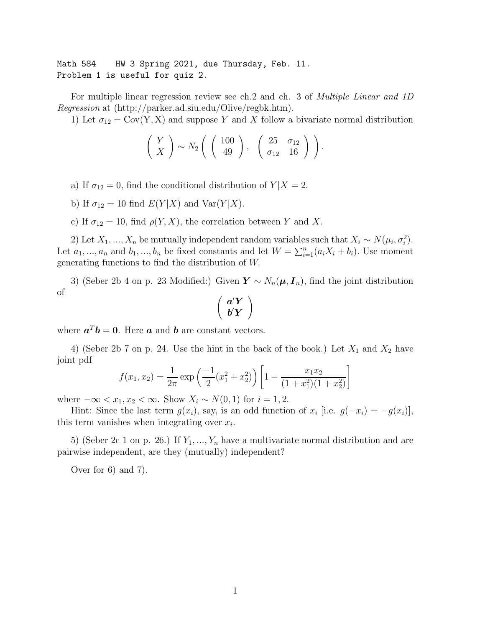Math 584 HW 3 Spring 2021, due Thursday, Feb. 11. Problem 1 is useful for quiz 2.

For multiple linear regression review see ch.2 and ch. 3 of *Multiple Linear and 1D* Regression at (http://parker.ad.siu.edu/Olive/regbk.htm).

1) Let  $\sigma_{12} = \text{Cov}(Y, X)$  and suppose Y and X follow a bivariate normal distribution

$$
\left(\begin{array}{c} Y \\ X \end{array}\right) \sim N_2 \left(\begin{array}{c} \left(\begin{array}{c} 100 \\ 49 \end{array}\right), \begin{array}{c} 25 & \sigma_{12} \\ \sigma_{12} & 16 \end{array}\right)\right).
$$

a) If  $\sigma_{12} = 0$ , find the conditional distribution of  $Y|X = 2$ .

b) If  $\sigma_{12} = 10$  find  $E(Y|X)$  and  $Var(Y|X)$ .

c) If  $\sigma_{12} = 10$ , find  $\rho(Y, X)$ , the correlation between Y and X.

2) Let  $X_1, ..., X_n$  be mutually independent random variables such that  $X_i \sim N(\mu_i, \sigma_i^2)$ . Let  $a_1, ..., a_n$  and  $b_1, ..., b_n$  be fixed constants and let  $W = \sum_{i=1}^n (a_i X_i + b_i)$ . Use moment generating functions to find the distribution of W.

3) (Seber 2b 4 on p. 23 Modified:) Given  $\mathbf{Y} \sim N_n(\boldsymbol{\mu}, \boldsymbol{I}_n)$ , find the joint distribution of

$$
\left(\begin{array}{c}a'Y\\b'Y\end{array}\right)
$$

where  $a^T b = 0$ . Here a and b are constant vectors.

4) (Seber 2b 7 on p. 24. Use the hint in the back of the book.) Let  $X_1$  and  $X_2$  have joint pdf

$$
f(x_1, x_2) = \frac{1}{2\pi} \exp\left(\frac{-1}{2}(x_1^2 + x_2^2)\right) \left[1 - \frac{x_1 x_2}{(1 + x_1^2)(1 + x_2^2)}\right]
$$

where  $-\infty < x_1, x_2 < \infty$ . Show  $X_i \sim N(0, 1)$  for  $i = 1, 2$ .

Hint: Since the last term  $g(x_i)$ , say, is an odd function of  $x_i$  [i.e.  $g(-x_i) = -g(x_i)$ ], this term vanishes when integrating over  $x_i$ .

5) (Seber 2c 1 on p. 26.) If  $Y_1, ..., Y_n$  have a multivariate normal distribution and are pairwise independent, are they (mutually) independent?

Over for 6) and 7).